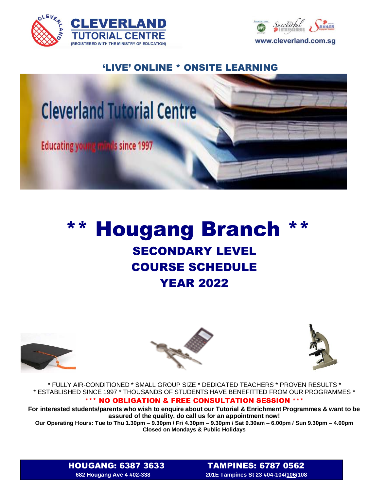



## 'LIVE' ONLINE \* ONSITE LEARNING



## \*\* Hougang Branch \*\* SECONDARY LEVEL COURSE SCHEDULE YEAR 2022







\* FULLY AIR-CONDITIONED \* SMALL GROUP SIZE \* DEDICATED TEACHERS \* PROVEN RESULTS \* \* ESTABLISHED SINCE 1997 \* THOUSANDS OF STUDENTS HAVE BENEFITTED FROM OUR PROGRAMMES \*

## \*\*\* NO OBLIGATION & FREE CONSULTATION SESSION \*\*\*

**For interested students/parents who wish to enquire about our Tutorial & Enrichment Programmes & want to be assured of the quality, do call us for an appointment now!**

**Our Operating Hours: Tue to Thu 1.30pm – 9.30pm / Fri 4.30pm – 9.30pm / Sat 9.30am – 6.00pm / Sun 9.30pm – 4.00pm Closed on Mondays & Public Holidays**

HOUGANG: 6387 3633TAMPINES: 6787 0562 **682 Hougang Ave 4 #02-338 201E Tampines St 23 #04-104/106/108**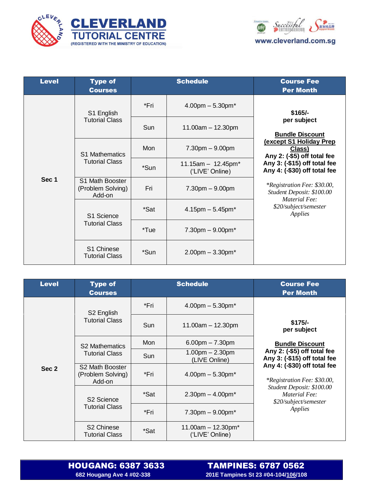



| <b>Level</b> | <b>Type of</b><br><b>Courses</b>               | <b>Schedule</b> |                                         | <b>Course Fee</b><br><b>Per Month</b>                                                                                                                                                                                                                                                                                 |
|--------------|------------------------------------------------|-----------------|-----------------------------------------|-----------------------------------------------------------------------------------------------------------------------------------------------------------------------------------------------------------------------------------------------------------------------------------------------------------------------|
| Sec 1        | S1 English<br><b>Tutorial Class</b>            | *Fri            | $4.00$ pm $-5.30$ pm $*$                | $$165/-$<br>per subject<br><b>Bundle Discount</b><br><b>(except S1 Holiday Prep)</b><br><u>Class)</u><br>Any 2: (-\$5) off total fee<br>Any 3: (-\$15) off total fee<br>Any 4: (-\$30) off total fee<br>*Registration Fee: \$30.00,<br>Student Deposit: \$100.00<br>Material Fee:<br>\$20/subject/semester<br>Applies |
|              |                                                | Sun             | $11.00am - 12.30pm$                     |                                                                                                                                                                                                                                                                                                                       |
|              | <b>S1 Mathematics</b><br><b>Tutorial Class</b> | Mon             | $7.30pm - 9.00pm$                       |                                                                                                                                                                                                                                                                                                                       |
|              |                                                | *Sun            | $11.15am - 12.45pm*$<br>('LIVE' Online) |                                                                                                                                                                                                                                                                                                                       |
|              | S1 Math Booster<br>(Problem Solving)<br>Add-on | Fri             | $7.30pm - 9.00pm$                       |                                                                                                                                                                                                                                                                                                                       |
|              | S1 Science<br><b>Tutorial Class</b>            | *Sat            | $4.15$ pm $-5.45$ pm $*$                |                                                                                                                                                                                                                                                                                                                       |
|              |                                                | *Tue            | $7.30$ pm $-9.00$ pm $*$                |                                                                                                                                                                                                                                                                                                                       |
|              | S1 Chinese<br><b>Tutorial Class</b>            | *Sun            | $2.00$ pm $-3.30$ pm $*$                |                                                                                                                                                                                                                                                                                                                       |

| <b>Level</b> | <b>Type of</b><br><b>Courses</b>                | <b>Schedule</b> |                                                     | <b>Course Fee</b><br><b>Per Month</b>                                                                                                                                                                                                                                    |
|--------------|-------------------------------------------------|-----------------|-----------------------------------------------------|--------------------------------------------------------------------------------------------------------------------------------------------------------------------------------------------------------------------------------------------------------------------------|
| Sec 2        | S <sub>2</sub> English<br><b>Tutorial Class</b> | *Fri            | $4.00$ pm $-5.30$ pm $*$                            | $$175/-$<br>per subject<br><b>Bundle Discount</b><br>Any 2: (-\$5) off total fee<br>Any 3: (-\$15) off total fee<br>Any 4: (-\$30) off total fee<br><i>*Registration Fee: \$30.00,</i><br>Student Deposit: \$100.00<br>Material Fee:<br>\$20/subject/semester<br>Applies |
|              |                                                 | Sun             | $11.00am - 12.30pm$                                 |                                                                                                                                                                                                                                                                          |
|              | <b>S2 Mathematics</b><br><b>Tutorial Class</b>  | Mon             | $6.00$ pm $- 7.30$ pm                               |                                                                                                                                                                                                                                                                          |
|              |                                                 | Sun             | $1.00pm - 2.30pm$<br>(LIVE Online)                  |                                                                                                                                                                                                                                                                          |
|              | S2 Math Booster<br>(Problem Solving)<br>Add-on  | *Fri            | $4.00$ pm $-5.30$ pm $*$                            |                                                                                                                                                                                                                                                                          |
|              | S <sub>2</sub> Science<br><b>Tutorial Class</b> | *Sat            | $2.30$ pm $- 4.00$ pm $*$                           |                                                                                                                                                                                                                                                                          |
|              |                                                 | *Fri            | $7.30$ pm $-9.00$ pm $*$                            |                                                                                                                                                                                                                                                                          |
|              | S <sub>2</sub> Chinese<br><b>Tutorial Class</b> | *Sat            | 11.00am $-$ 12.30pm <sup>*</sup><br>('LIVE' Online) |                                                                                                                                                                                                                                                                          |

 **FAMPINES: 6787 0562**<br>682 Hougang Ave 4 #02-338 *POUS 201E Tampines St 23 #04-104/<u>106</u>/108*  **682 Hougang Ave 4 #02-338 201E Tampines St 23 #04-104/106/108**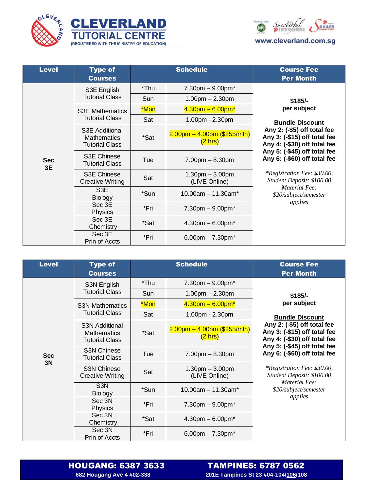





| <b>Level</b>     | <b>Type of</b><br><b>Courses</b>                              | <b>Schedule</b> |                                                     | <b>Course Fee</b><br><b>Per Month</b>                                                                                                                                                                                                                                                                                                           |
|------------------|---------------------------------------------------------------|-----------------|-----------------------------------------------------|-------------------------------------------------------------------------------------------------------------------------------------------------------------------------------------------------------------------------------------------------------------------------------------------------------------------------------------------------|
|                  | S3E English<br><b>Tutorial Class</b>                          | *Thu            | $7.30 \text{pm} - 9.00 \text{pm}^*$                 | $$185/-$<br>per subject<br><b>Bundle Discount</b><br>Any 2: (-\$5) off total fee<br>Any 3: (-\$15) off total fee<br>Any 4: (-\$30) off total fee<br>Any 5: (-\$45) off total fee<br>Any 6: (-\$60) off total fee<br><i>*Registration Fee: \$30.00,</i><br>Student Deposit: \$100.00<br><b>Material Fee:</b><br>\$20/subject/semester<br>applies |
|                  |                                                               | Sun             | $1.00pm - 2.30pm$                                   |                                                                                                                                                                                                                                                                                                                                                 |
|                  | <b>S3E Mathematics</b><br><b>Tutorial Class</b>               | *Mon            | $4.30$ pm $- 6.00$ pm $*$                           |                                                                                                                                                                                                                                                                                                                                                 |
|                  |                                                               | Sat             | 1.00pm - 2.30pm                                     |                                                                                                                                                                                                                                                                                                                                                 |
| <b>Sec</b><br>3E | S3E Additional<br><b>Mathematics</b><br><b>Tutorial Class</b> | *Sat            | $2.00$ pm – 4.00pm (\$255/mth)<br>$(2 \text{ hrs})$ |                                                                                                                                                                                                                                                                                                                                                 |
|                  | <b>S3E Chinese</b><br><b>Tutorial Class</b>                   | Tue             | $7.00pm - 8.30pm$                                   |                                                                                                                                                                                                                                                                                                                                                 |
|                  | S3E Chinese<br><b>Creative Writing</b>                        | Sat             | $1.30pm - 3.00pm$<br>(LIVE Online)                  |                                                                                                                                                                                                                                                                                                                                                 |
|                  | S <sub>3</sub> E<br><b>Biology</b>                            | *Sun            | $10.00$ am $- 11.30$ am <sup>*</sup>                |                                                                                                                                                                                                                                                                                                                                                 |
|                  | Sec 3E<br><b>Physics</b>                                      | *Fri            | $7.30 \text{pm} - 9.00 \text{pm}^*$                 |                                                                                                                                                                                                                                                                                                                                                 |
|                  | Sec 3E<br>Chemistry                                           | *Sat            | $4.30$ pm $-6.00$ pm $*$                            |                                                                                                                                                                                                                                                                                                                                                 |
|                  | Sec 3E<br>Prin of Accts                                       | *Fri            | 6.00pm $- 7.30$ pm $*$                              |                                                                                                                                                                                                                                                                                                                                                 |

| <b>Level</b>     | <b>Type of</b><br><b>Courses</b>                                     | <b>Schedule</b> |                                                     | <b>Course Fee</b><br><b>Per Month</b>                                                                                                                                                                                                                                                                                                           |
|------------------|----------------------------------------------------------------------|-----------------|-----------------------------------------------------|-------------------------------------------------------------------------------------------------------------------------------------------------------------------------------------------------------------------------------------------------------------------------------------------------------------------------------------------------|
| <b>Sec</b><br>3N | S3N English<br><b>Tutorial Class</b>                                 | *Thu            | $7.30$ pm $-9.00$ pm $*$                            | $$185/-$<br>per subject<br><b>Bundle Discount</b><br>Any 2: (-\$5) off total fee<br>Any 3: (-\$15) off total fee<br>Any 4: (-\$30) off total fee<br>Any 5: (-\$45) off total fee<br>Any 6: (-\$60) off total fee<br><i>*Registration Fee: \$30.00,</i><br>Student Deposit: \$100.00<br><b>Material Fee:</b><br>\$20/subject/semester<br>applies |
|                  |                                                                      | Sun             | $1.00pm - 2.30pm$                                   |                                                                                                                                                                                                                                                                                                                                                 |
|                  | <b>S3N Mathematics</b><br><b>Tutorial Class</b>                      | *Mon            | $4.30$ pm $- 6.00$ pm $*$                           |                                                                                                                                                                                                                                                                                                                                                 |
|                  |                                                                      | Sat             | 1.00pm - 2.30pm                                     |                                                                                                                                                                                                                                                                                                                                                 |
|                  | <b>S3N Additional</b><br><b>Mathematics</b><br><b>Tutorial Class</b> | *Sat            | $2.00$ pm – 4.00pm (\$255/mth)<br>$(2 \text{ hrs})$ |                                                                                                                                                                                                                                                                                                                                                 |
|                  | <b>S3N Chinese</b><br><b>Tutorial Class</b>                          | Tue             | $7.00pm - 8.30pm$                                   |                                                                                                                                                                                                                                                                                                                                                 |
|                  | <b>S3N Chinese</b><br><b>Creative Writing</b>                        | Sat             | $1.30pm - 3.00pm$<br>(LIVE Online)                  |                                                                                                                                                                                                                                                                                                                                                 |
|                  | S <sub>3</sub> N<br><b>Biology</b>                                   | *Sun            | $10.00$ am $- 11.30$ am*                            |                                                                                                                                                                                                                                                                                                                                                 |
|                  | Sec 3N<br>Physics                                                    | *Fri            | $7.30$ pm $-9.00$ pm $*$                            |                                                                                                                                                                                                                                                                                                                                                 |
|                  | Sec 3N<br>Chemistry                                                  | *Sat            | $4.30$ pm $- 6.00$ pm $*$                           |                                                                                                                                                                                                                                                                                                                                                 |
|                  | Sec 3N<br>Prin of Accts                                              | *Fri            | 6.00pm $- 7.30$ pm <sup>*</sup>                     |                                                                                                                                                                                                                                                                                                                                                 |

 **FAMPINES: 6787 0562**<br>682 Hougang Ave 4 #02-338 *PODD* **201E Tampines St 23 #04-104/<u>106</u>/108 682 Hougang Ave 4 #02-338 201E Tampines St 23 #04-104/106/108**